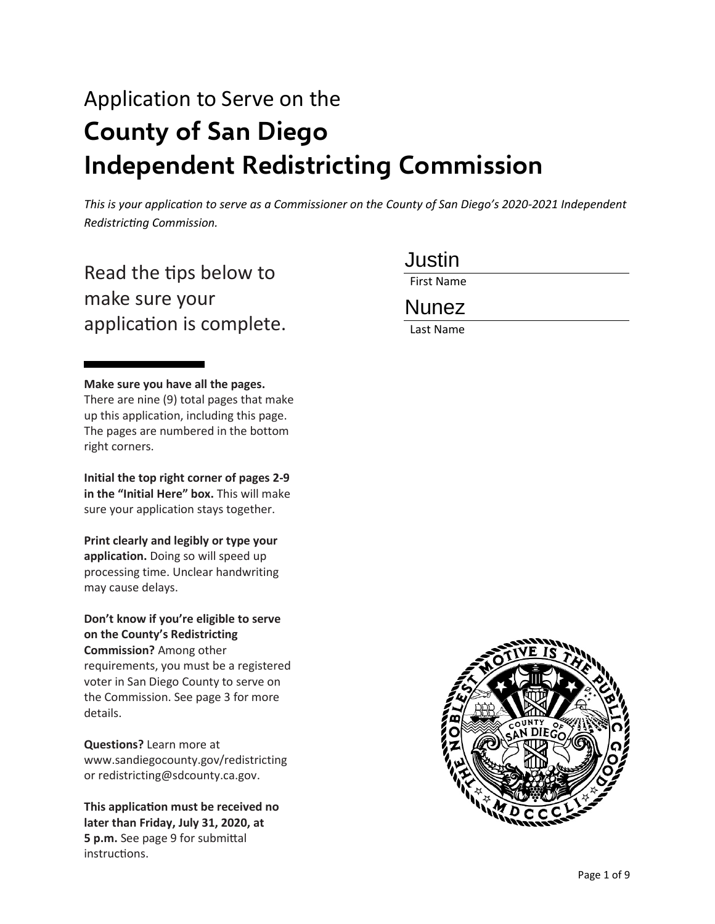# Application to Serve on the **County of San Diego Independent Redistricting Commission**

*This is your application to serve as a Commissioner on the County of San Diego's 2020-2021 Independent Redistricting Commission.*

Read the tips below to make sure your application is complete.

#### **Make sure you have all the pages.**

There are nine (9) total pages that make up this application, including this page. The pages are numbered in the bottom right corners.

**Initial the top right corner of pages 2-9 in the "Initial Here" box.** This will make sure your application stays together.

**Print clearly and legibly or type your application.** Doing so will speed up processing time. Unclear handwriting may cause delays.

**Don't know if you're eligible to serve on the County's Redistricting Commission?** Among other requirements, you must be a registered voter in San Diego County to serve on the Commission. See page 3 for more details.

**Questions?** Learn more at www.sandiegocounty.gov/redistricting or redistricting@sdcounty.ca.gov.

**This application must be received no later than Friday, July 31, 2020, at 5 p.m.** See page 9 for submital instructions.

Justin

First Name

## Nunez

Last Name

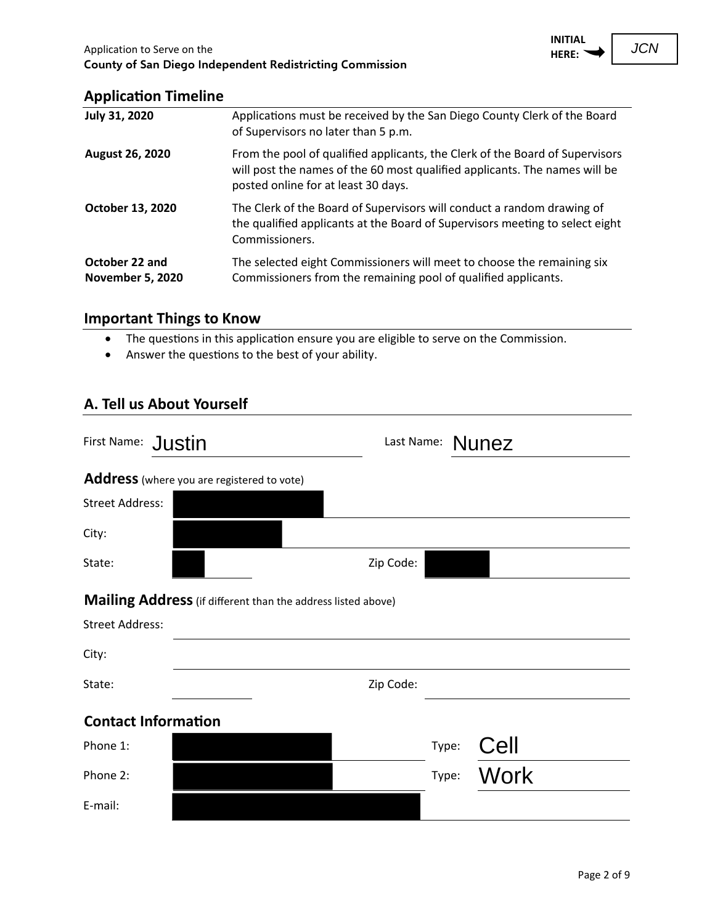

#### **Application Timeline**

| <b>July 31, 2020</b>                      | Applications must be received by the San Diego County Clerk of the Board<br>of Supervisors no later than 5 p.m.                                                                                   |
|-------------------------------------------|---------------------------------------------------------------------------------------------------------------------------------------------------------------------------------------------------|
| <b>August 26, 2020</b>                    | From the pool of qualified applicants, the Clerk of the Board of Supervisors<br>will post the names of the 60 most qualified applicants. The names will be<br>posted online for at least 30 days. |
| October 13, 2020                          | The Clerk of the Board of Supervisors will conduct a random drawing of<br>the qualified applicants at the Board of Supervisors meeting to select eight<br>Commissioners.                          |
| October 22 and<br><b>November 5, 2020</b> | The selected eight Commissioners will meet to choose the remaining six<br>Commissioners from the remaining pool of qualified applicants.                                                          |

# **Important Things to Know**

- The questions in this application ensure you are eligible to serve on the Commission.
- Answer the questions to the best of your ability.

## **A. Tell us About Yourself**

| First Name: Justin                                                                            | Last Name: Nunez |       |             |
|-----------------------------------------------------------------------------------------------|------------------|-------|-------------|
| Address (where you are registered to vote)                                                    |                  |       |             |
| <b>Street Address:</b>                                                                        |                  |       |             |
| City:                                                                                         |                  |       |             |
| State:                                                                                        | Zip Code:        |       |             |
| <b>Mailing Address</b> (if different than the address listed above)<br><b>Street Address:</b> |                  |       |             |
|                                                                                               |                  |       |             |
| City:                                                                                         |                  |       |             |
| State:                                                                                        | Zip Code:        |       |             |
| <b>Contact Information</b>                                                                    |                  |       |             |
| Phone 1:                                                                                      |                  | Type: | Cell        |
| Phone 2:                                                                                      |                  | Type: | <b>Work</b> |
| E-mail:                                                                                       |                  |       |             |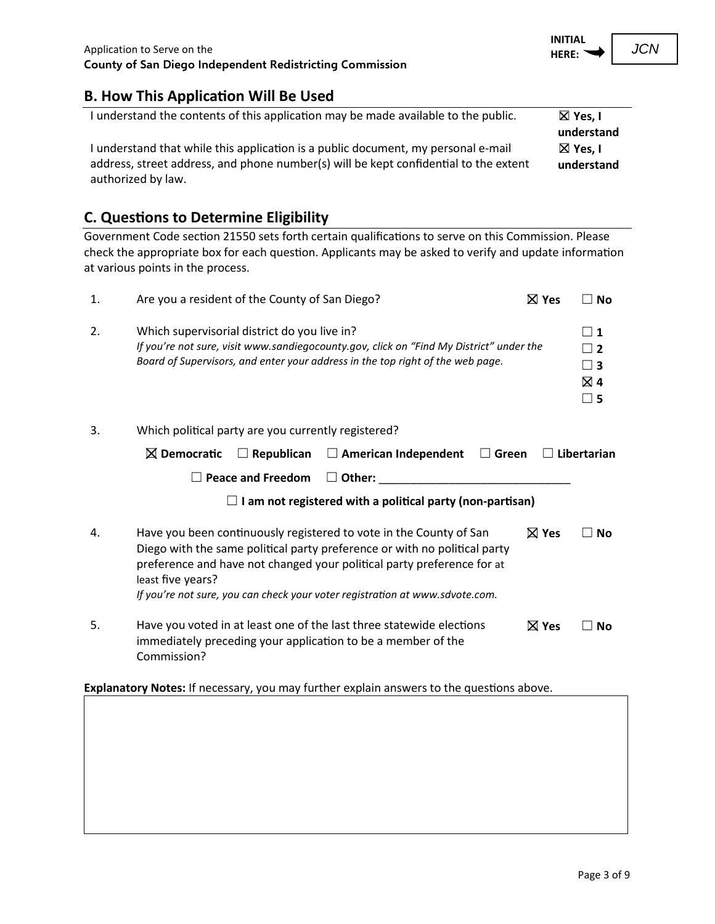#### **B.** How This Application Will Be Used

| I understand the contents of this application may be made available to the public.   | $\boxtimes$ Yes, I |
|--------------------------------------------------------------------------------------|--------------------|
|                                                                                      | understand         |
| I understand that while this application is a public document, my personal e-mail    | $\boxtimes$ Yes, I |
| address, street address, and phone number(s) will be kept confidential to the extent | understand         |
| authorized by law.                                                                   |                    |

## **C.** Questions to Determine Eligibility

Government Code section 21550 sets forth certain qualifications to serve on this Commission. Please check the appropriate box for each question. Applicants may be asked to verify and update information at various points in the process.

| 1. | Are you a resident of the County of San Diego?                                                                                                                                                                                                                                                                                 | $\boxtimes$ Yes | ∟ No                                                         |
|----|--------------------------------------------------------------------------------------------------------------------------------------------------------------------------------------------------------------------------------------------------------------------------------------------------------------------------------|-----------------|--------------------------------------------------------------|
| 2. | Which supervisorial district do you live in?<br>If you're not sure, visit www.sandiegocounty.gov, click on "Find My District" under the<br>Board of Supervisors, and enter your address in the top right of the web page.                                                                                                      |                 | $\vert$ 1<br>$\sqsupset$ 2<br>$\Box$ 3<br>⊠ 4<br>$\square$ 5 |
| 3. | Which political party are you currently registered?                                                                                                                                                                                                                                                                            |                 |                                                              |
|    | $\boxtimes$ Democratic<br>$\Box$ Republican<br>$\Box$ American Independent<br>$\Box$ Green                                                                                                                                                                                                                                     |                 | $\Box$ Libertarian                                           |
|    | <b>Peace and Freedom</b><br>$\Box$ Other:                                                                                                                                                                                                                                                                                      |                 |                                                              |
|    | I am not registered with a political party (non-partisan)                                                                                                                                                                                                                                                                      |                 |                                                              |
| 4. | Have you been continuously registered to vote in the County of San<br>Diego with the same political party preference or with no political party<br>preference and have not changed your political party preference for at<br>least five years?<br>If you're not sure, you can check your voter registration at www.sdvote.com. | $\boxtimes$ Yes | <b>No</b>                                                    |
| 5. | Have you voted in at least one of the last three statewide elections<br>immediately preceding your application to be a member of the<br>Commission?                                                                                                                                                                            | $\boxtimes$ Yes | <b>No</b>                                                    |

Explanatory Notes: If necessary, you may further explain answers to the questions above.

**INITIAL HERE:**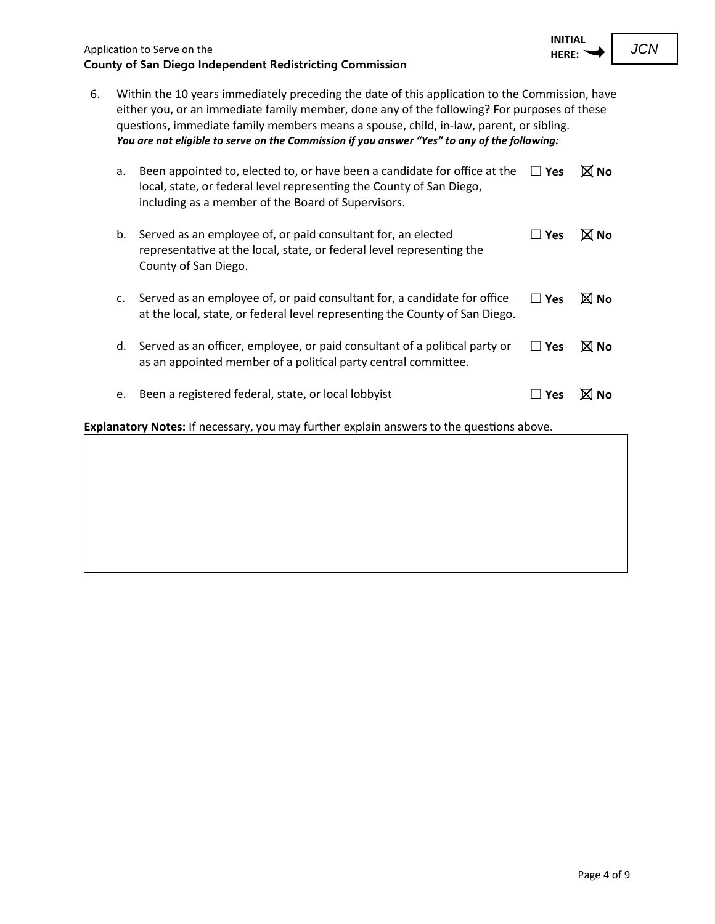

6. Within the 10 years immediately preceding the date of this application to the Commission, have either you, or an immediate family member, done any of the following? For purposes of these questions, immediate family members means a spouse, child, in-law, parent, or sibling. *You are not eligible to serve on the Commission if you answer "Yes" to any of the following:*

| a. | Been appointed to, elected to, or have been a candidate for office at the<br>local, state, or federal level representing the County of San Diego,<br>including as a member of the Board of Supervisors. | l l Yes    | $\boxtimes$ No |
|----|---------------------------------------------------------------------------------------------------------------------------------------------------------------------------------------------------------|------------|----------------|
| b. | Served as an employee of, or paid consultant for, an elected<br>representative at the local, state, or federal level representing the<br>County of San Diego.                                           | l l Yes    | $\boxtimes$ No |
| c. | Served as an employee of, or paid consultant for, a candidate for office<br>at the local, state, or federal level representing the County of San Diego.                                                 | $\Box$ Yes | $\boxtimes$ No |
| d. | Served as an officer, employee, or paid consultant of a political party or<br>as an appointed member of a political party central committee.                                                            | $\Box$ Yes | $\boxtimes$ No |
| e. | Been a registered federal, state, or local lobbyist                                                                                                                                                     | Yes        |                |

Explanatory Notes: If necessary, you may further explain answers to the questions above.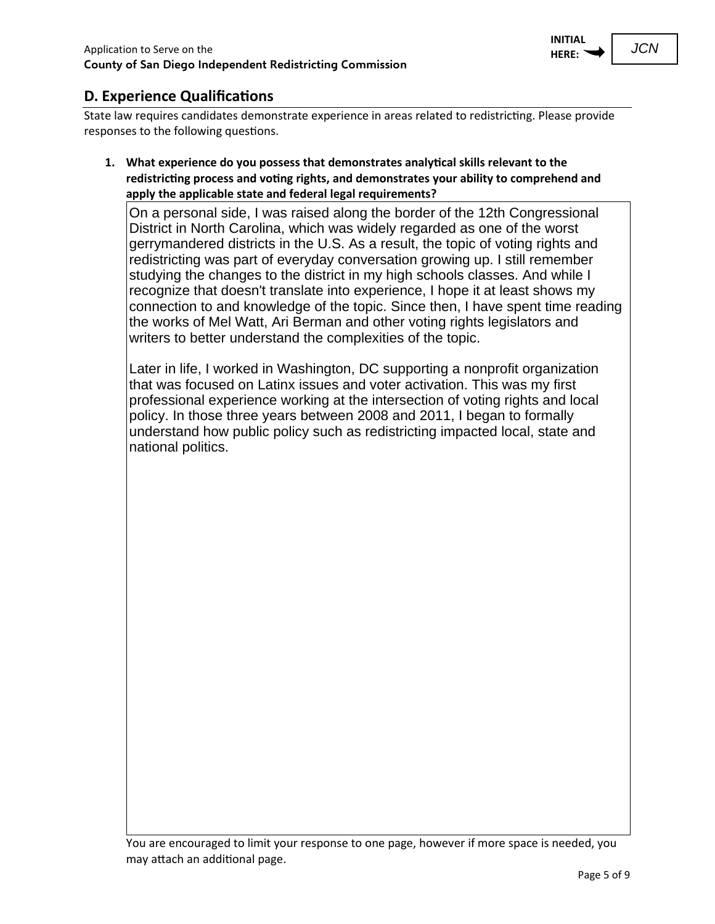

JCN

### **D.** Experience Qualifications

State law requires candidates demonstrate experience in areas related to redistricting. Please provide responses to the following questions.

**1. What experience do you possess that demonstrates analy�cal skills relevant to the redistric�ng process and vo�ng rights, and demonstrates your ability to comprehend and apply the applicable state and federal legal requirements?**

On a personal side, I was raised along the border of the 12th Congressional District in North Carolina, which was widely regarded as one of the worst gerrymandered districts in the U.S. As a result, the topic of voting rights and redistricting was part of everyday conversation growing up. I still remember studying the changes to the district in my high schools classes. And while I recognize that doesn't translate into experience, I hope it at least shows my connection to and knowledge of the topic. Since then, I have spent time reading the works of Mel Watt, Ari Berman and other voting rights legislators and writers to better understand the complexities of the topic.

Later in life, I worked in Washington, DC supporting a nonprofit organization that was focused on Latinx issues and voter activation. This was my first professional experience working at the intersection of voting rights and local policy. In those three years between 2008 and 2011, I began to formally understand how public policy such as redistricting impacted local, state and national politics.

You are encouraged to limit your response to one page, however if more space is needed, you may attach an additional page.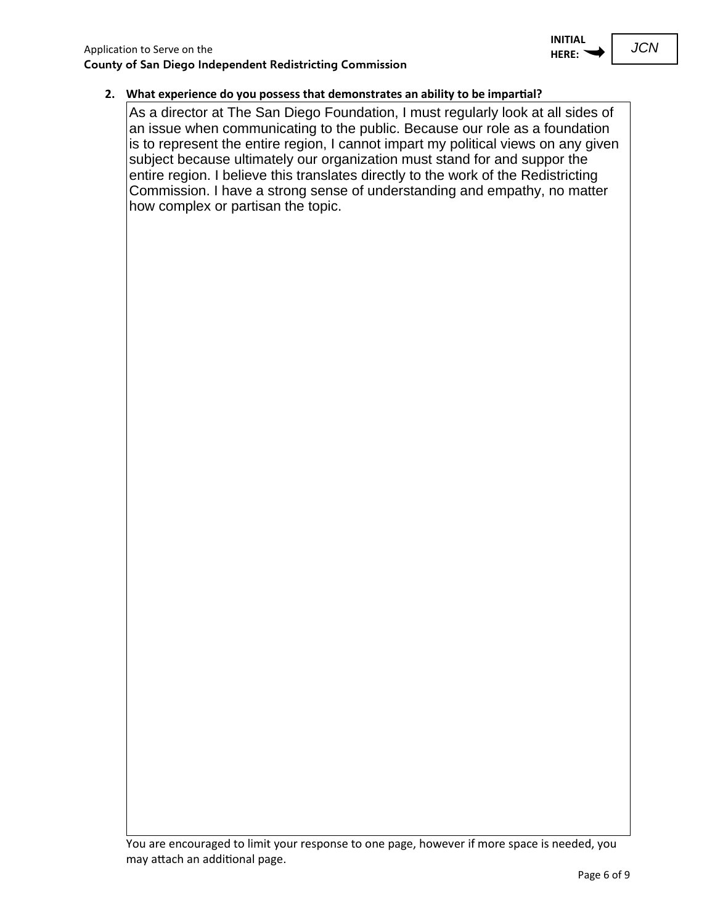#### **2. What experience do you possess that demonstrates an ability to be impar�al?**

As a director at The San Diego Foundation, I must regularly look at all sides of an issue when communicating to the public. Because our role as a foundation is to represent the entire region, I cannot impart my political views on any given subject because ultimately our organization must stand for and suppor the entire region. I believe this translates directly to the work of the Redistricting Commission. I have a strong sense of understanding and empathy, no matter how complex or partisan the topic.

You are encouraged to limit your response to one page, however if more space is needed, you may attach an additional page.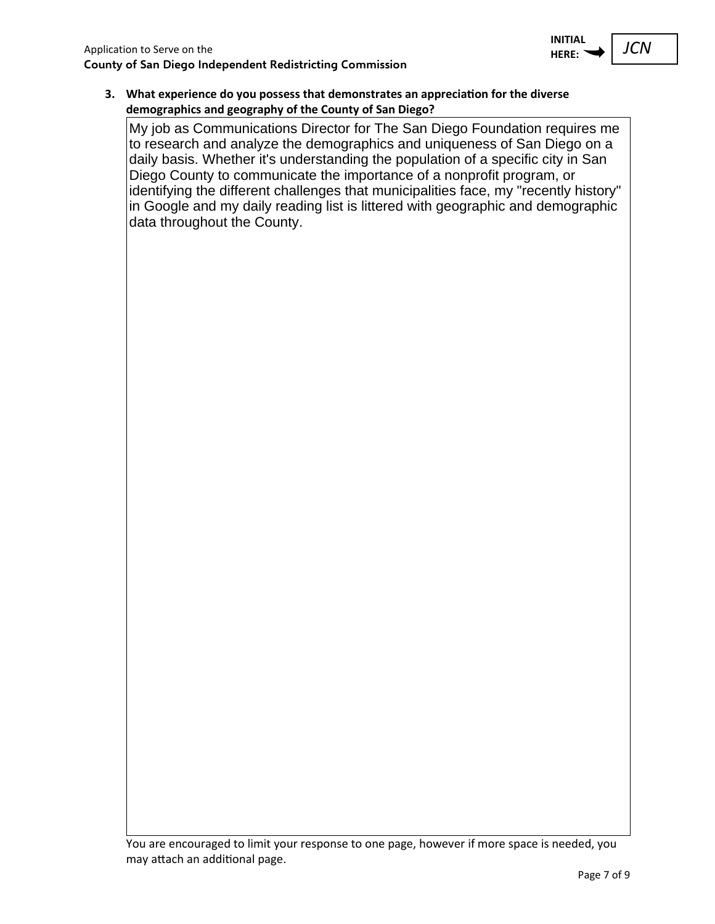

**3. What experience do you possess that demonstrates an apprecia�on for the diverse demographics and geography of the County of San Diego?**

My job as Communications Director for The San Diego Foundation requires me to research and analyze the demographics and uniqueness of San Diego on a daily basis. Whether it's understanding the population of a specific city in San Diego County to communicate the importance of a nonprofit program, or identifying the different challenges that municipalities face, my "recently history" in Google and my daily reading list is littered with geographic and demographic data throughout the County.

You are encouraged to limit your response to one page, however if more space is needed, you may attach an additional page.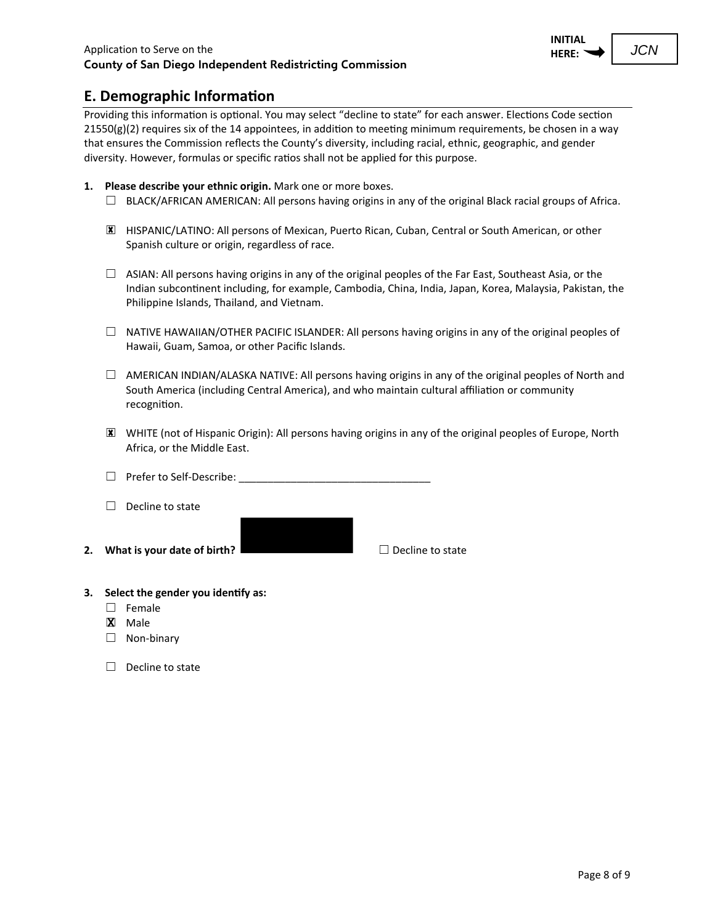JCN

Providing this information is optional. You may select "decline to state" for each answer. Elections Code section  $21550(g)(2)$  requires six of the 14 appointees, in addition to meeting minimum requirements, be chosen in a way that ensures the Commission reflects the County's diversity, including racial, ethnic, geographic, and gender diversity. However, formulas or specific ratios shall not be applied for this purpose.

- **1. Please describe your ethnic origin.** Mark one or more boxes.
	- $\Box$  BLACK/AFRICAN AMERICAN: All persons having origins in any of the original Black racial groups of Africa.
	- ☐ HISPANIC/LATINO: All persons of Mexican, Puerto Rican, Cuban, Central or South American, or other Spanish culture or origin, regardless of race.
	- ☐ ASIAN: All persons having origins in any of the original peoples of the Far East, Southeast Asia, or the Indian subcon�nent including, for example, Cambodia, China, India, Japan, Korea, Malaysia, Pakistan, the Philippine Islands, Thailand, and Vietnam.
	- $\Box$  NATIVE HAWAIIAN/OTHER PACIFIC ISLANDER: All persons having origins in any of the original peoples of Hawaii, Guam, Samoa, or other Pacific Islands.
	- $\Box$  AMERICAN INDIAN/ALASKA NATIVE: All persons having origins in any of the original peoples of North and South America (including Central America), and who maintain cultural affiliation or community recognition.
	- ☐ WHITE (not of Hispanic Origin): All persons having origins in any of the original peoples of Europe, North Africa, or the Middle East.
	- $\Box$  Prefer to Self-Describe:
	- ☐ Decline to state
- **2. What is your date of birth?** □ Decline to state

#### **3. Select the gender you iden�fy as:**

- ☐ Female
- ☐ Male
- ☐ Non-binary
- ☐ Decline to state